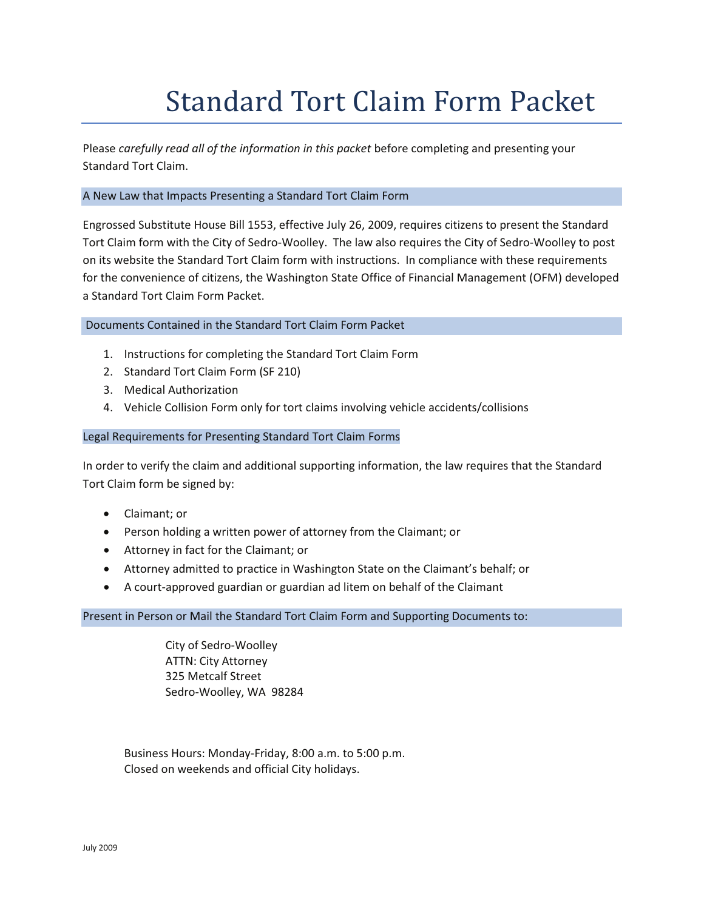# Standard Tort Claim Form Packet

Please *carefully read all of the information in this packet* before completing and presenting your Standard Tort Claim.

## A New Law that Impacts Presenting a Standard Tort Claim Form

Engrossed Substitute House Bill 1553, effective July 26, 2009, requires citizens to present the Standard Tort Claim form with the City of Sedro-Woolley. The law also requires the City of Sedro-Woolley to post on its website the Standard Tort Claim form with instructions. In compliance with these requirements for the convenience of citizens, the Washington State Office of Financial Management (OFM) developed a Standard Tort Claim Form Packet.

## Documents Contained in the Standard Tort Claim Form Packet

- 1. Instructions for completing the Standard Tort Claim Form
- 2. Standard Tort Claim Form (SF 210)
- 3. Medical Authorization
- 4. Vehicle Collision Form only for tort claims involving vehicle accidents/collisions

## Legal Requirements for Presenting Standard Tort Claim Forms

In order to verify the claim and additional supporting information, the law requires that the Standard Tort Claim form be signed by:

- Claimant; or
- Person holding a written power of attorney from the Claimant; or
- Attorney in fact for the Claimant; or
- Attorney admitted to practice in Washington State on the Claimant's behalf; or
- A court-approved guardian or guardian ad litem on behalf of the Claimant

## Present in Person or Mail the Standard Tort Claim Form and Supporting Documents to:

City of Sedro-Woolley ATTN: City Attorney 325 Metcalf Street Sedro-Woolley, WA 98284

 Business Hours: Monday-Friday, 8:00 a.m. to 5:00 p.m. Closed on weekends and official City holidays.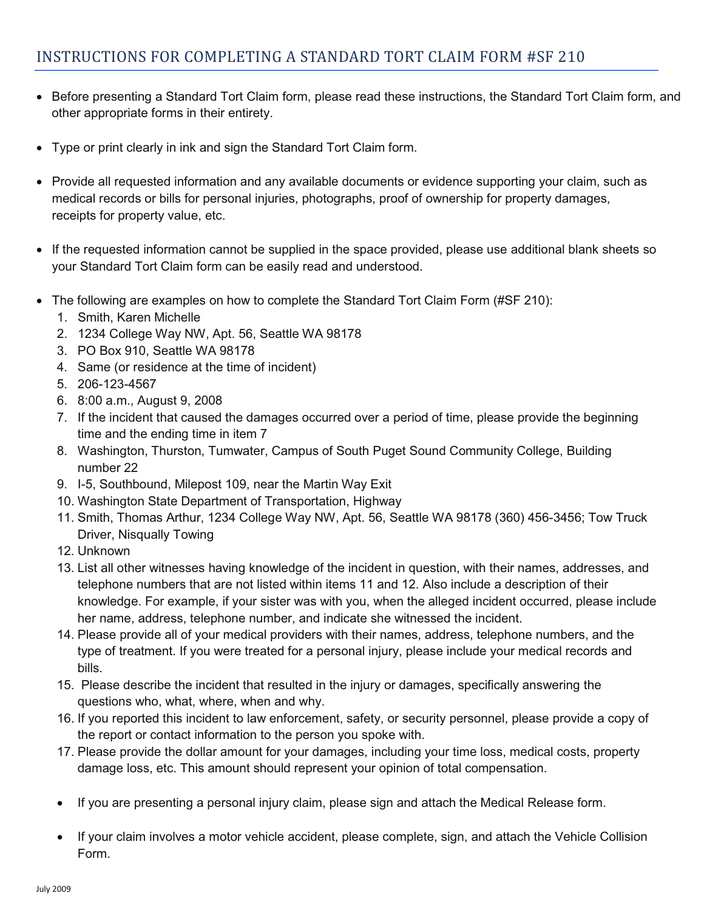- Before presenting a Standard Tort Claim form, please read these instructions, the Standard Tort Claim form, and other appropriate forms in their entirety.
- Type or print clearly in ink and sign the Standard Tort Claim form.
- Provide all requested information and any available documents or evidence supporting your claim, such as medical records or bills for personal injuries, photographs, proof of ownership for property damages, receipts for property value, etc.
- If the requested information cannot be supplied in the space provided, please use additional blank sheets so your Standard Tort Claim form can be easily read and understood.
- The following are examples on how to complete the Standard Tort Claim Form (#SF 210):
	- 1. Smith, Karen Michelle
	- 2. 1234 College Way NW, Apt. 56, Seattle WA 98178
	- 3. PO Box 910, Seattle WA 98178
	- 4. Same (or residence at the time of incident)
	- 5. 206-123-4567
	- 6. 8:00 a.m., August 9, 2008
	- 7. If the incident that caused the damages occurred over a period of time, please provide the beginning time and the ending time in item 7
	- 8. Washington, Thurston, Tumwater, Campus of South Puget Sound Community College, Building number 22
	- 9. I-5, Southbound, Milepost 109, near the Martin Way Exit
	- 10. Washington State Department of Transportation, Highway
	- 11. Smith, Thomas Arthur, 1234 College Way NW, Apt. 56, Seattle WA 98178 (360) 456-3456; Tow Truck Driver, Nisqually Towing
	- 12. Unknown
	- 13. List all other witnesses having knowledge of the incident in question, with their names, addresses, and telephone numbers that are not listed within items 11 and 12. Also include a description of their knowledge. For example, if your sister was with you, when the alleged incident occurred, please include her name, address, telephone number, and indicate she witnessed the incident.
	- 14. Please provide all of your medical providers with their names, address, telephone numbers, and the type of treatment. If you were treated for a personal injury, please include your medical records and bills.
	- 15. Please describe the incident that resulted in the injury or damages, specifically answering the questions who, what, where, when and why.
	- 16. If you reported this incident to law enforcement, safety, or security personnel, please provide a copy of the report or contact information to the person you spoke with.
	- 17. Please provide the dollar amount for your damages, including your time loss, medical costs, property damage loss, etc. This amount should represent your opinion of total compensation.
	- If you are presenting a personal injury claim, please sign and attach the Medical Release form.
	- If your claim involves a motor vehicle accident, please complete, sign, and attach the Vehicle Collision Form.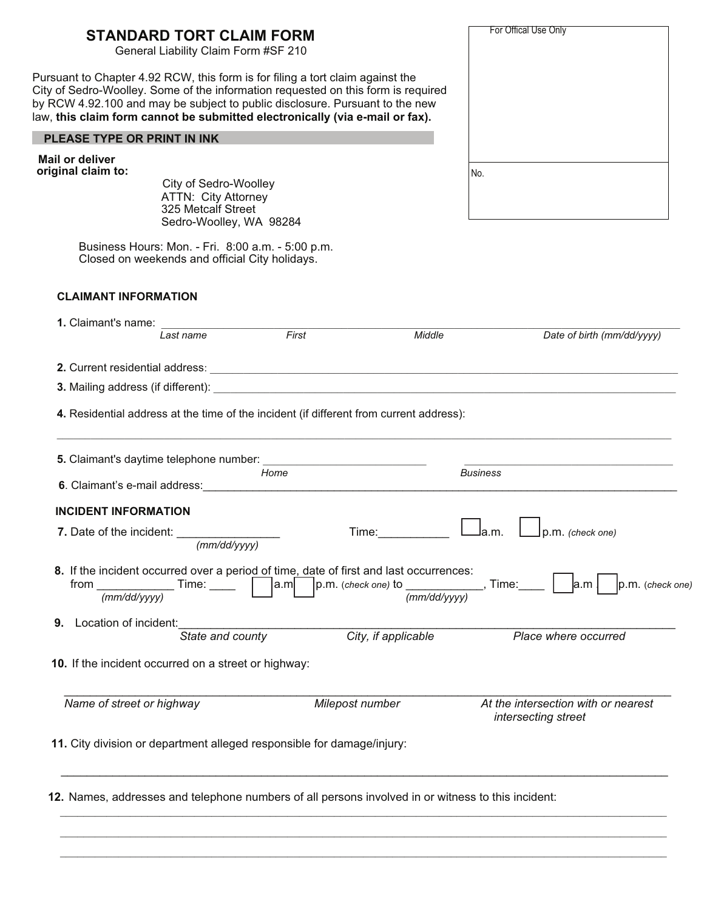| For Offical Use Only                                                                                                                                                                                                           |
|--------------------------------------------------------------------------------------------------------------------------------------------------------------------------------------------------------------------------------|
|                                                                                                                                                                                                                                |
|                                                                                                                                                                                                                                |
| No.                                                                                                                                                                                                                            |
|                                                                                                                                                                                                                                |
|                                                                                                                                                                                                                                |
| Date of birth (mm/dd/yyyy)                                                                                                                                                                                                     |
|                                                                                                                                                                                                                                |
| 3. Mailing address (if different): example and a set of the set of the set of the set of the set of the set of the set of the set of the set of the set of the set of the set of the set of the set of the set of the set of t |
| 4. Residential address at the time of the incident (if different from current address):                                                                                                                                        |
| the control of the control of the control of the control of the control of<br><b>Business</b>                                                                                                                                  |
|                                                                                                                                                                                                                                |
| la.m.<br>p.m. (check one)                                                                                                                                                                                                      |
| 8. If the incident occurred over a period of time, date of first and last occurrences:<br>, Time:<br>p.m. (check one)<br>la.m<br>(mm/dd/yyyy)                                                                                  |
| Place where occurred                                                                                                                                                                                                           |
|                                                                                                                                                                                                                                |
| At the intersection with or nearest<br>intersecting street                                                                                                                                                                     |
|                                                                                                                                                                                                                                |
|                                                                                                                                                                                                                                |

!\_\_\_\_\_\_\_\_\_\_\_\_\_\_\_\_\_\_\_\_\_\_\_\_\_\_\_\_\_\_\_\_\_\_\_\_\_\_\_\_\_\_\_\_\_\_\_\_\_\_\_\_\_\_\_\_\_\_\_\_\_\_\_\_\_\_\_\_\_\_\_\_\_\_\_\_\_\_\_\_\_\_\_\_\_\_\_\_\_\_\_\_\_\_\_\_\_\_\_\_!!\_

\_\_\_\_\_\_\_\_\_\_\_\_\_\_\_\_\_\_\_\_\_\_\_\_\_\_\_\_\_\_\_\_\_\_\_\_\_\_\_\_\_\_\_\_\_\_\_\_\_\_\_\_\_\_\_\_\_\_\_\_\_\_\_\_\_\_\_\_\_\_\_\_\_\_\_\_\_\_\_\_\_\_\_\_\_\_\_\_\_\_\_\_\_\_\_\_\_\_\_!!!!\_  $\_$  ,  $\_$  ,  $\_$  ,  $\_$  ,  $\_$  ,  $\_$  ,  $\_$  ,  $\_$  ,  $\_$  ,  $\_$  ,  $\_$  ,  $\_$  ,  $\_$  ,  $\_$  ,  $\_$  ,  $\_$  ,  $\_$  ,  $\_$  ,  $\_$  ,  $\_$  ,  $\_$  ,  $\_$  ,  $\_$  ,  $\_$  ,  $\_$  ,  $\_$  ,  $\_$  ,  $\_$  ,  $\_$  ,  $\_$  ,  $\_$  ,  $\_$  ,  $\_$  ,  $\_$  ,  $\_$  ,  $\_$  ,  $\_$  ,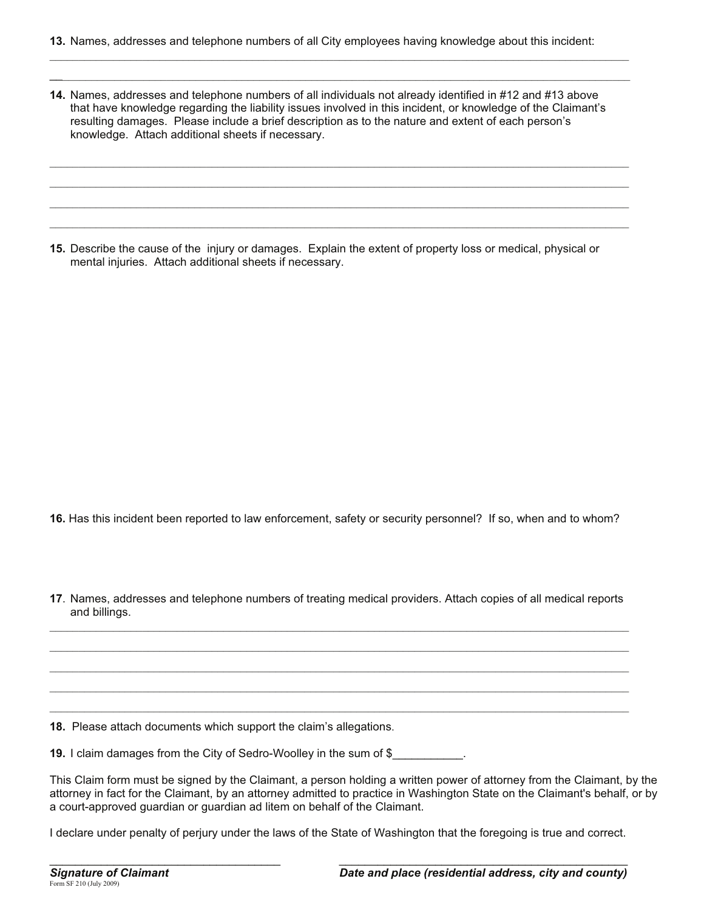14. Names, addresses and telephone numbers of all individuals not already identified in #12 and #13 above that have knowledge regarding the liability issues involved in this incident, or knowledge of the Claimant's resulting damages. Please include a brief description as to the nature and extent of each person's knowledge. Attach additional sheets if necessary.

15. Describe the cause of the injury or damages. Explain the extent of property loss or medical, physical or mental injuries. Attach additional sheets if necessary.

16. Has this incident been reported to law enforcement, safety or security personnel? If so, when and to whom?

17. Names, addresses and telephone numbers of treating medical providers. Attach copies of all medical reports and billings.

18. Please attach documents which support the claim's allegations.

19. I claim damages from the City of Sedro-Woolley in the sum of \$

This Claim form must be signed by the Claimant, a person holding a written power of attorney from the Claimant, by the attorney in fact for the Claimant, by an attorney admitted to practice in Washington State on the Claimant's behalf, or by a court-approved guardian or guardian ad litem on behalf of the Claimant.

I declare under penalty of perjury under the laws of the State of Washington that the foregoing is true and correct.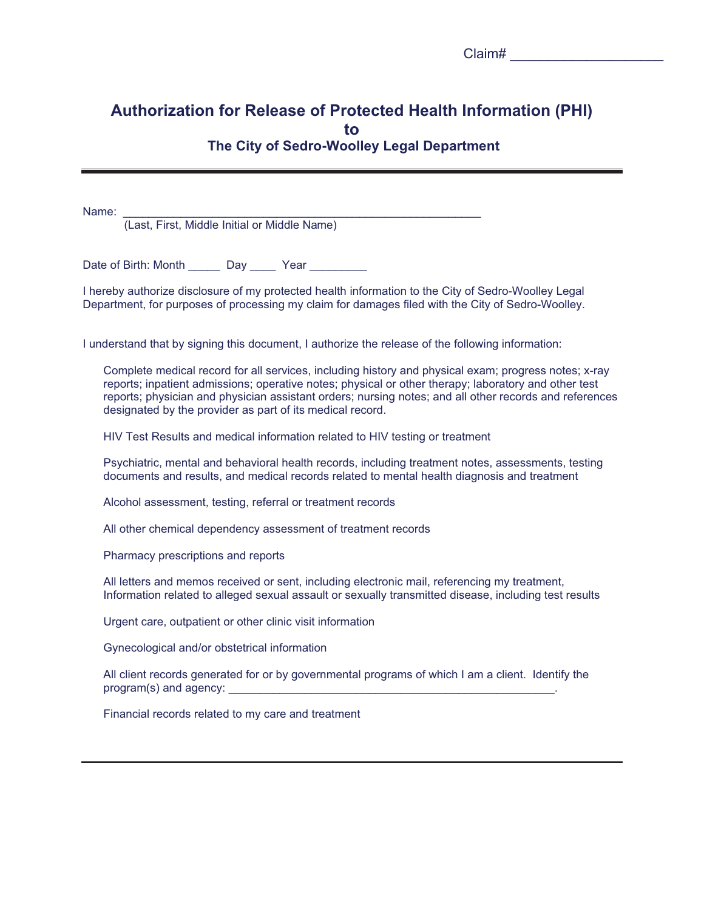|  | Jiaim# |
|--|--------|
|  |        |

## **Authorization for Release of Protected Health Information (PHI)** to The City of Sedro-Woolley Legal Department

Name:

(Last. First. Middle Initial or Middle Name)

Date of Birth: Month \_\_\_\_\_\_\_ Day \_\_\_\_\_ Year \_\_\_\_\_\_\_\_\_

I hereby authorize disclosure of my protected health information to the City of Sedro-Woolley Legal Department, for purposes of processing my claim for damages filed with the City of Sedro-Woolley.

I understand that by signing this document, I authorize the release of the following information:

Complete medical record for all services, including history and physical exam; progress notes; x-ray reports; inpatient admissions; operative notes; physical or other therapy; laboratory and other test reports; physician and physician assistant orders; nursing notes; and all other records and references designated by the provider as part of its medical record.

HIV Test Results and medical information related to HIV testing or treatment

Psychiatric, mental and behavioral health records, including treatment notes, assessments, testing documents and results, and medical records related to mental health diagnosis and treatment

Alcohol assessment, testing, referral or treatment records

All other chemical dependency assessment of treatment records

Pharmacy prescriptions and reports

All letters and memos received or sent, including electronic mail, referencing my treatment, Information related to alleged sexual assault or sexually transmitted disease, including test results

Urgent care, outpatient or other clinic visit information

Gynecological and/or obstetrical information

All client records generated for or by governmental programs of which I am a client. Identify the program(s) and agency:

Financial records related to my care and treatment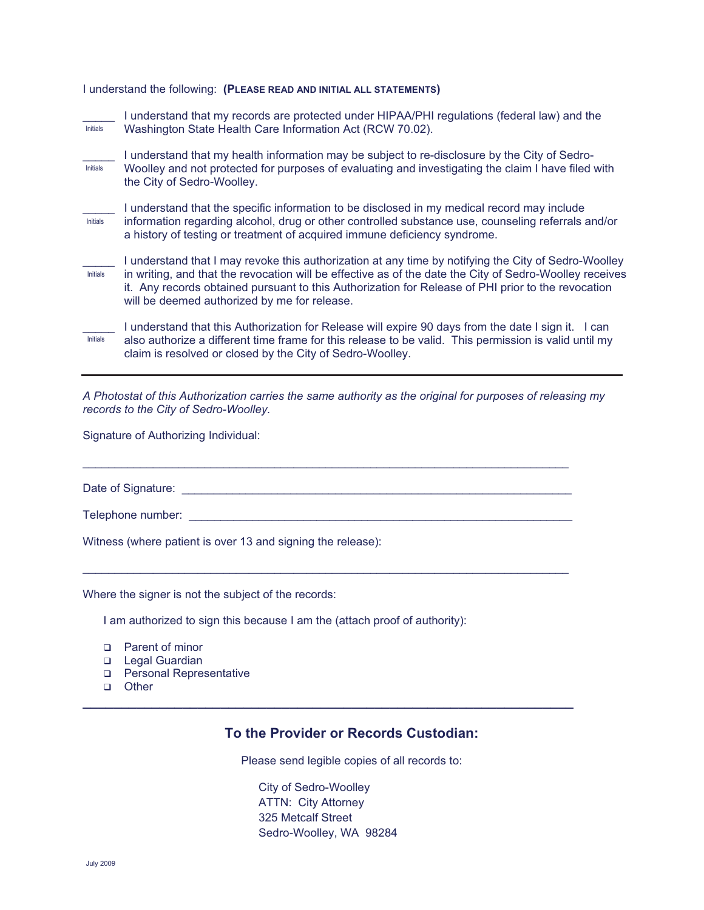## I understand the following: (PLEASE READ AND INITIAL ALL STATEMENTS)

| <b>Initials</b> | I understand that my records are protected under HIPAA/PHI regulations (federal law) and the<br>Washington State Health Care Information Act (RCW 70.02).                                                                                                                                                                                                             |
|-----------------|-----------------------------------------------------------------------------------------------------------------------------------------------------------------------------------------------------------------------------------------------------------------------------------------------------------------------------------------------------------------------|
| <b>Initials</b> | I understand that my health information may be subject to re-disclosure by the City of Sedro-<br>Woolley and not protected for purposes of evaluating and investigating the claim I have filed with<br>the City of Sedro-Woolley.                                                                                                                                     |
| Initials        | I understand that the specific information to be disclosed in my medical record may include<br>information regarding alcohol, drug or other controlled substance use, counseling referrals and/or<br>a history of testing or treatment of acquired immune deficiency syndrome.                                                                                        |
| <b>Initials</b> | I understand that I may revoke this authorization at any time by notifying the City of Sedro-Woolley<br>in writing, and that the revocation will be effective as of the date the City of Sedro-Woolley receives<br>it. Any records obtained pursuant to this Authorization for Release of PHI prior to the revocation<br>will be deemed authorized by me for release. |
| Initials        | I understand that this Authorization for Release will expire 90 days from the date I sign it. I can<br>also authorize a different time frame for this release to be valid. This permission is valid until my<br>claim is resolved or closed by the City of Sedro-Woolley.                                                                                             |

A Photostat of this Authorization carries the same authority as the original for purposes of releasing my records to the City of Sedro-Woolley.

Signature of Authorizing Individual:

|--|

Witness (where patient is over 13 and signing the release):

Where the signer is not the subject of the records:

I am authorized to sign this because I am the (attach proof of authority):

- □ Parent of minor
- Legal Guardian
- □ Personal Representative
- □ Other

## To the Provider or Records Custodian:

Please send legible copies of all records to:

City of Sedro-Woolley **ATTN: City Attorney** 325 Metcalf Street Sedro-Woolley, WA 98284